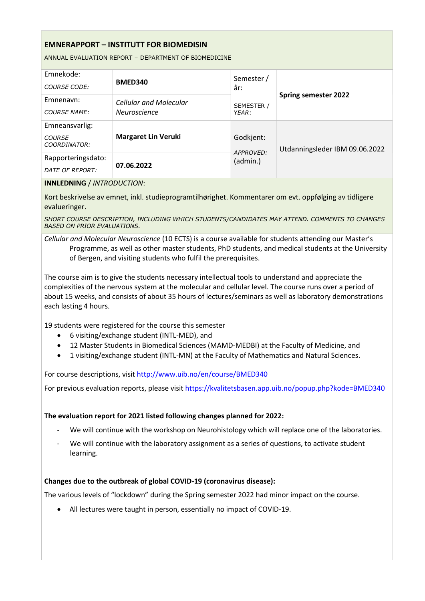## EMNERAPPORT – INSTITUTT FOR BIOMEDISIN

ANNUAL EVALUATION REPORT – DEPARTMENT OF BIOMEDICINE

| Emnekode:<br>COURSE CODE:                       | BMED340                                              | Semester /<br>år:     | <b>Spring semester 2022</b>    |  |
|-------------------------------------------------|------------------------------------------------------|-----------------------|--------------------------------|--|
| Emnenavn:<br><b>COURSE NAME:</b>                | <b>Cellular and Molecular</b><br><b>Neuroscience</b> | SEMESTER /<br>YEAR:   |                                |  |
| Emneansvarlig:<br><b>COURSE</b><br>COORDINATOR: | <b>Margaret Lin Veruki</b>                           | Godkjent:             | Utdanningsleder IBM 09.06.2022 |  |
| Rapporteringsdato:<br>DATE OF REPORT:           | 07.06.2022                                           | APPROVED:<br>(admin.) |                                |  |

#### INNLEDNING / INTRODUCTION:

Kort beskrivelse av emnet, inkl. studieprogramtilhørighet. Kommentarer om evt. oppfølging av tidligere evalueringer.

SHORT COURSE DESCRIPTION, INCLUDING WHICH STUDENTS/CANDIDATES MAY ATTEND. COMMENTS TO CHANGES BASED ON PRIOR EVALUATIONS.

## Cellular and Molecular Neuroscience (10 ECTS) is a course available for students attending our Master's Programme, as well as other master students, PhD students, and medical students at the University of Bergen, and visiting students who fulfil the prerequisites.

The course aim is to give the students necessary intellectual tools to understand and appreciate the complexities of the nervous system at the molecular and cellular level. The course runs over a period of about 15 weeks, and consists of about 35 hours of lectures/seminars as well as laboratory demonstrations each lasting 4 hours.

19 students were registered for the course this semester

- 6 visiting/exchange student (INTL-MED), and
- 12 Master Students in Biomedical Sciences (MAMD-MEDBI) at the Faculty of Medicine, and
- 1 visiting/exchange student (INTL-MN) at the Faculty of Mathematics and Natural Sciences.

For course descriptions, visit http://www.uib.no/en/course/BMED340

For previous evaluation reports, please visit https://kvalitetsbasen.app.uib.no/popup.php?kode=BMED340

#### The evaluation report for 2021 listed following changes planned for 2022:

- We will continue with the workshop on Neurohistology which will replace one of the laboratories.
- We will continue with the laboratory assignment as a series of questions, to activate student learning.

#### Changes due to the outbreak of global COVID-19 (coronavirus disease):

The various levels of "lockdown" during the Spring semester 2022 had minor impact on the course.

All lectures were taught in person, essentially no impact of COVID-19.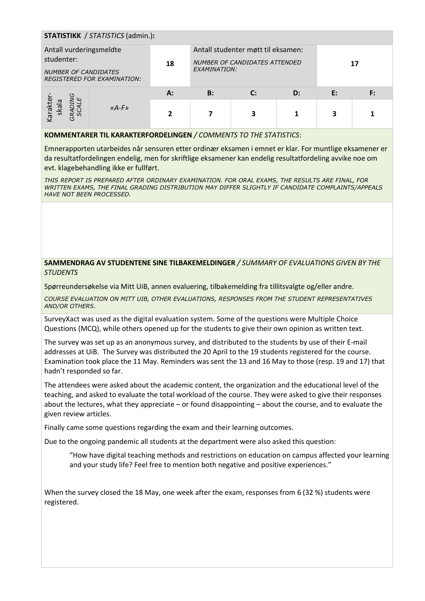| <b>STATISTIKK</b> / STATISTICS (admin.):                                                                   |               |       |              |                                                                     |    |    |  |  |  |
|------------------------------------------------------------------------------------------------------------|---------------|-------|--------------|---------------------------------------------------------------------|----|----|--|--|--|
| Antall vurderingsmeldte<br>studenter:<br><b>NUMBER OF CANDIDATES</b><br><b>REGISTERED FOR EXAMINATION:</b> |               | 18    | EXAMINATION: | Antall studenter møtt til eksamen:<br>NUMBER OF CANDIDATES ATTENDED |    |    |  |  |  |
| Karakter<br>skala<br>RAD.<br>SCA                                                                           | $\kappa$ A-F» | $A$ : | <b>B:</b>    | $\mathbf{C}$                                                        | D: | E: |  |  |  |
|                                                                                                            |               |       |              |                                                                     |    | 3  |  |  |  |

#### KOMMENTARER TIL KARAKTERFORDELINGEN / COMMENTS TO THE STATISTICS:

Emnerapporten utarbeides når sensuren etter ordinær eksamen i emnet er klar. For muntlige eksamener er da resultatfordelingen endelig, men for skriftlige eksamener kan endelig resultatfordeling avvike noe om evt. klagebehandling ikke er fullført.

THIS REPORT IS PREPARED AFTER ORDINARY EXAMINATION. FOR ORAL EXAMS, THE RESULTS ARE FINAL, FOR WRITTEN EXAMS, THE FINAL GRADING DISTRIBUTION MAY DIFFER SLIGHTLY IF CANDIDATE COMPLAINTS/APPEALS HAVE NOT BEEN PROCESSED.

### SAMMENDRAG AV STUDENTENE SINE TILBAKEMELDINGER / SUMMARY OF EVALUATIONS GIVEN BY THE STUDENTS

Spørreundersøkelse via Mitt UiB, annen evaluering, tilbakemelding fra tillitsvalgte og/eller andre.

COURSE EVALUATION ON MITT UIB, OTHER EVALUATIONS, RESPONSES FROM THE STUDENT REPRESENTATIVES AND/OR OTHERS.

SurveyXact was used as the digital evaluation system. Some of the questions were Multiple Choice Questions (MCQ), while others opened up for the students to give their own opinion as written text.

The survey was set up as an anonymous survey, and distributed to the students by use of their E-mail addresses at UiB. The Survey was distributed the 20 April to the 19 students registered for the course. Examination took place the 11 May. Reminders was sent the 13 and 16 May to those (resp. 19 and 17) that hadn't responded so far.

The attendees were asked about the academic content, the organization and the educational level of the teaching, and asked to evaluate the total workload of the course. They were asked to give their responses about the lectures, what they appreciate – or found disappointing – about the course, and to evaluate the given review articles.

Finally came some questions regarding the exam and their learning outcomes.

Due to the ongoing pandemic all students at the department were also asked this question:

"How have digital teaching methods and restrictions on education on campus affected your learning and your study life? Feel free to mention both negative and positive experiences."

When the survey closed the 18 May, one week after the exam, responses from 6 (32 %) students were registered.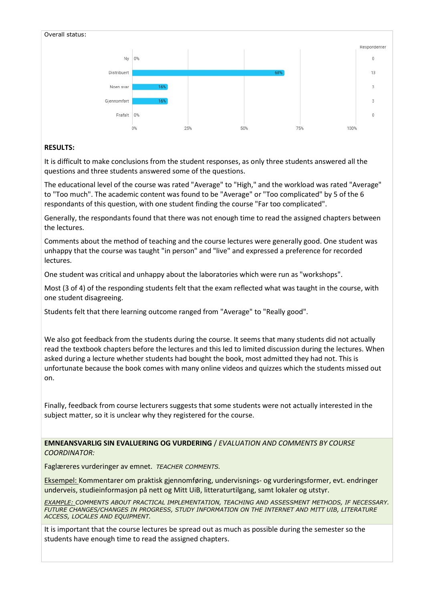

## RESULTS:

It is difficult to make conclusions from the student responses, as only three students answered all the questions and three students answered some of the questions.

The educational level of the course was rated "Average" to "High," and the workload was rated "Average" to "Too much". The academic content was found to be "Average" or "Too complicated" by 5 of the 6 respondants of this question, with one student finding the course "Far too complicated".

Generally, the respondants found that there was not enough time to read the assigned chapters between the lectures.

Comments about the method of teaching and the course lectures were generally good. One student was unhappy that the course was taught "in person" and "live" and expressed a preference for recorded lectures.

One student was critical and unhappy about the laboratories which were run as "workshops".

Most (3 of 4) of the responding students felt that the exam reflected what was taught in the course, with one student disagreeing.

Students felt that there learning outcome ranged from "Average" to "Really good".

We also got feedback from the students during the course. It seems that many students did not actually read the textbook chapters before the lectures and this led to limited discussion during the lectures. When asked during a lecture whether students had bought the book, most admitted they had not. This is unfortunate because the book comes with many online videos and quizzes which the students missed out on.

Finally, feedback from course lecturers suggests that some students were not actually interested in the subject matter, so it is unclear why they registered for the course.

EMNEANSVARLIG SIN EVALUERING OG VURDERING / EVALUATION AND COMMENTS BY COURSE COORDINATOR:

Faglæreres vurderinger av emnet. TEACHER COMMENTS.

Eksempel: Kommentarer om praktisk gjennomføring, undervisnings- og vurderingsformer, evt. endringer underveis, studieinformasjon på nett og Mitt UiB, litteraturtilgang, samt lokaler og utstyr.

EXAMPLE: COMMENTS ABOUT PRACTICAL IMPLEMENTATION, TEACHING AND ASSESSMENT METHODS, IF NECESSARY. FUTURE CHANGES/CHANGES IN PROGRESS, STUDY INFORMATION ON THE INTERNET AND MITT UIB, LITERATURE ACCESS, LOCALES AND EQUIPMENT.

It is important that the course lectures be spread out as much as possible during the semester so the students have enough time to read the assigned chapters.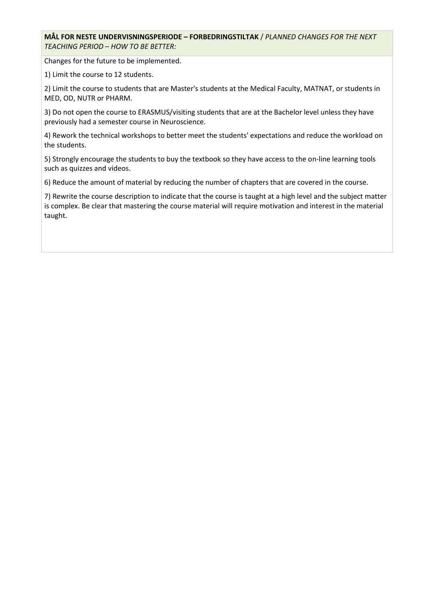MÅL FOR NESTE UNDERVISNINGSPERIODE – FORBEDRINGSTILTAK / PLANNED CHANGES FOR THE NEXT TEACHING PERIOD – HOW TO BE BETTER:

Changes for the future to be implemented.

1) Limit the course to 12 students.

2) Limit the course to students that are Master's students at the Medical Faculty, MATNAT, or students in MED, OD, NUTR or PHARM.

3) Do not open the course to ERASMUS/visiting students that are at the Bachelor level unless they have previously had a semester course in Neuroscience.

4) Rework the technical workshops to better meet the students' expectations and reduce the workload on the students.

5) Strongly encourage the students to buy the textbook so they have access to the on-line learning tools such as quizzes and videos.

6) Reduce the amount of material by reducing the number of chapters that are covered in the course.

7) Rewrite the course description to indicate that the course is taught at a high level and the subject matter is complex. Be clear that mastering the course material will require motivation and interest in the material taught.